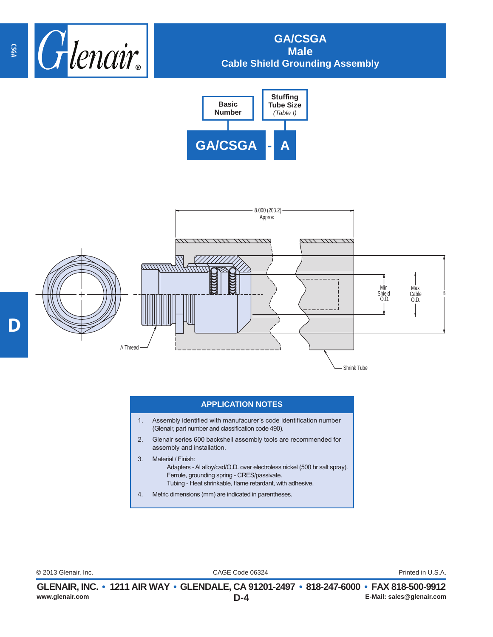

## **GA/CSGA Male Cable Shield Grounding Assembly**





## **APPLICATION NOTES**

- 1. Assembly identified with manufacurer's code identification number (Glenair, part number and classification code 490).
- 2. Glenair series 600 backshell assembly tools are recommended for assembly and installation.
- 3. Material / Finish: Adapters - Al alloy/cad/O.D. over electroless nickel (500 hr salt spray). Ferrule, grounding spring - CRES/passivate. Tubing - Heat shrinkable, flame retardant, with adhesive.
- 4. Metric dimensions (mm) are indicated in parentheses.

CAGE Code 06324 © 2013 Glenair, Inc. Printed in U.S.A.